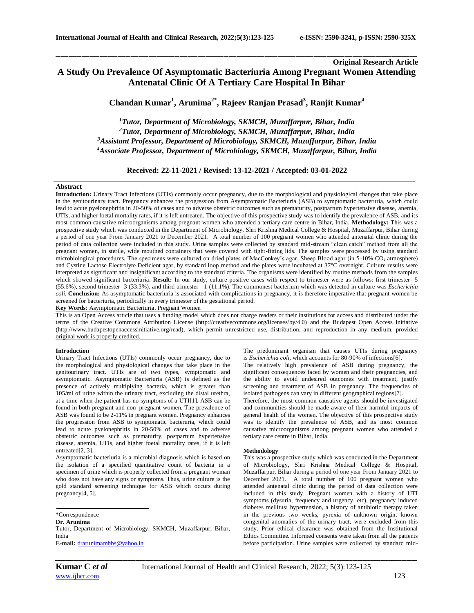# **Original Research Article A Study On Prevalence Of Asymptomatic Bacteriuria Among Pregnant Women Attending Antenatal Clinic Of A Tertiary Care Hospital In Bihar**

\_\_\_\_\_\_\_\_\_\_\_\_\_\_\_\_\_\_\_\_\_\_\_\_\_\_\_\_\_\_\_\_\_\_\_\_\_\_\_\_\_\_\_\_\_\_\_\_\_\_\_\_\_\_\_\_\_\_\_\_\_\_\_\_\_\_\_\_\_\_\_\_\_\_\_\_\_\_\_\_\_\_\_\_\_\_\_\_\_\_\_\_\_\_\_\_\_\_\_\_\_\_\_\_\_\_\_\_\_\_\_\_\_\_\_\_\_\_\_\_\_\_\_\_\_\_\_\_\_\_\_\_\_\_\_\_\_\_\_\_

**Chandan Kumar<sup>1</sup> , Arunima2\* , Rajeev Ranjan Prasad<sup>3</sup> , Ranjit Kumar<sup>4</sup>**

*Tutor, Department of Microbiology, SKMCH, Muzaffarpur, Bihar, India Tutor, Department of Microbiology, SKMCH, Muzaffarpur, Bihar, India Assistant Professor, Department of Microbiology, SKMCH, Muzaffarpur, Bihar, India Associate Professor, Department of Microbiology, SKMCH, Muzaffarpur, Bihar, India*

**Received: 22-11-2021 / Revised: 13-12-2021 / Accepted: 03-01-2022**

# **Abstract**

**Introduction:** Urinary Tract Infections (UTIs) commonly occur pregnancy, due to the morphological and physiological changes that take place in the genitourinary tract. Pregnancy enhances the progression from Asymptomatic Bacteriuria (ASB) to symptomatic bacteruria, which could lead to acute pyelonephritis in 20-50% of cases and to adverse obstetric outcomes such as prematurity, postpartum hypertensive disease, anemia, UTIs, and higher foetal mortality rates, if it is left untreated. The objective of this prospective study was to identify the prevalence of ASB, and its most common causative microorganisms among pregnant women who attended a tertiary care centre in Bihar, India. **Methodology:** This was a prospective study which was conducted in the Department of Microbiology, Shri Krishna Medical College & Hospital, Muzaffarpur, Bihar during a period of one year From January 2021 to December 2021. A total number of 100 pregnant women who attended antenatal clinic during the period of data collection were included in this study. Urine samples were collected by standard mid-stream "clean catch" method from all the pregnant women, in sterile, wide mouthed containers that were covered with tight-fitting lids. The samples were processed by using standard microbiological procedures. The specimens were cultured on dried plates of MacConkey's agar, Sheep Blood agar (in 5-10% CO<sub>2</sub> atmosphere) and Cystine Lactose Electrolyte Deficient agar, by standard loop method and the plates were incubated at 37°C overnight. Culture results were interpreted as significant and insignificant according to the standard criteria. The organisms were identified by routine methods from the samples which showed significant bacteriuria. Result: In our study, culture positive cases with respect to trimester were as follows: first trimester- 5 (55.6%), second trimester- 3 (33.3%), and third trimester - 1 (11.1%). The commonest bacterium which was detected in culture was *Escherichia coli*. **Conclusion:** As asymptomatic bacteriuria is associated with complications in pregnancy, it is therefore imperative that pregnant women be screened for bacteriuria, periodically in every trimester of the gestational period.

**Key Words**: Asymptomatic Bacteriuria, Pregnant Women

This is an Open Access article that uses a funding model which does not charge readers or their institutions for access and distributed under the terms of the Creative Commons Attribution License (http://creativecommons.org/licenses/by/4.0) and the Budapest Open Access Initiative (http://www.budapestopenaccessinitiative.org/read), which permit unrestricted use, distribution, and reproduction in any medium, provided original work is properly credited.

#### **Introduction**

Urinary Tract Infections (UTIs) commonly occur pregnancy, due to the morphological and physiological changes that take place in the genitourinary tract. UTIs are of two types, symptomatic and asymptomatic. Asymptomatic Bacteriuria (ASB) is defined as the presence of actively multiplying bacteria, which is greater than 105/ml of urine within the urinary tract, excluding the distal urethra, at a time when the patient has no symptoms of a UTI[1]. ASB can be found in both pregnant and non–pregnant women. The prevalence of ASB was found to be 2-11% in pregnant women. Pregnancy enhances the progression from ASB to symptomatic bacteruria, which could lead to acute pyelonephritis in 20-50% of cases and to adverse obstetric outcomes such as prematurity, postpartum hypertensive disease, anemia, UTIs, and higher foetal mortality rates, if it is left untreated[2, 3].

Asymptomatic bacteriuria is a microbial diagnosis which is based on the isolation of a specified quantitative count of bacteria in a specimen of urine which is properly collected from a pregnant woman who does not have any signs or symptoms. Thus, urine culture is the gold standard screening technique for ASB which occurs during pregnancy[4, 5].

**Dr. Arunima** Tutor, Department of Microbiology, SKMCH, Muzaffarpur, Bihar, India **E-mail:** [drarunimambbs@yahoo.in](mailto:drarunimambbs@yahoo.in)

The predominant organism that causes UTIs during pregnancy is *Escherichia coli*, which accounts for 80-90% of infections[6]. The relatively high prevalence of ASB during pregnancy, the significant consequences faced by women and their pregnancies, and the ability to avoid undesired outcomes with treatment, justify screening and treatment of ASB in pregnancy. The frequencies of isolated pathogens can vary in different geographical regions[7].

Therefore, the most common causative agents should be investigated and communities should be made aware of their harmful impacts of general health of the women. The objective of this prospective study was to identify the prevalence of ASB, and its most common causative microorganisms among pregnant women who attended a tertiary care centre in Bihar, India.

## **Methodology**

This was a prospective study which was conducted in the Department of Microbiology, Shri Krishna Medical College & Hospital, Muzaffarpur, Bihar during a period of one year From January 2021 to December 2021. A total number of 100 pregnant women who attended antenatal clinic during the period of data collection were included in this study. Pregnant women with a history of UTI symptoms (dysuria, frequency and urgency, etc), pregnancy induced diabetes mellitus/ hypertension, a history of antibiotic therapy taken in the previous two weeks, pyrexia of unknown origin, known congenital anomalies of the urinary tract, were excluded from this study. Prior ethical clearance was obtained from the Institutional Ethics Committee. Informed consents were taken from all the patients before participation. Urine samples were collected by standard mid-

*\_\_\_\_\_\_\_\_\_\_\_\_\_\_\_\_\_\_\_\_\_\_\_\_\_\_\_\_\_\_\_\_\_\_\_\_\_\_\_\_\_\_\_\_\_\_\_\_\_\_\_\_\_\_\_\_\_\_\_\_\_\_\_\_\_\_\_\_\_\_\_\_\_\_\_\_\_\_\_\_\_\_\_\_\_\_\_\_\_\_\_\_\_\_\_\_\_\_\_\_\_\_\_\_\_\_\_\_\_\_\_\_\_\_\_\_\_\_\_\_\_\_\_\_\_\_\_\_\_\_\_\_\_\_\_\_\_\_\_\_*

<sup>\*</sup>Correspondence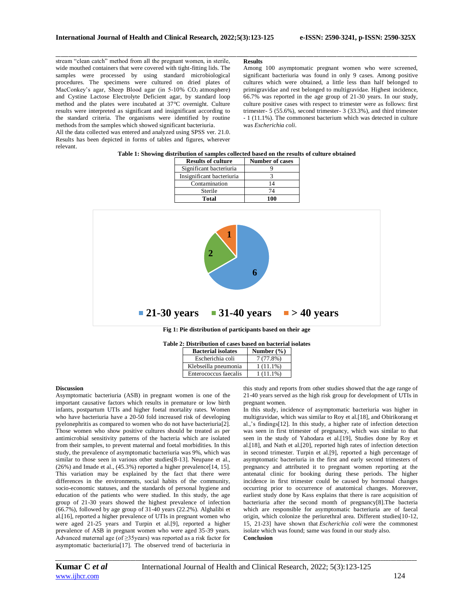\_\_\_\_\_\_\_\_\_\_\_\_\_\_\_\_\_\_\_\_\_\_\_\_\_\_\_\_\_\_\_\_\_\_\_\_\_\_\_\_\_\_\_\_\_\_\_\_\_\_\_\_\_\_\_\_\_\_\_\_\_\_\_\_\_\_\_\_\_\_\_\_\_\_\_\_\_\_\_\_\_\_\_\_\_\_\_\_\_\_\_\_\_\_\_\_\_\_\_\_\_\_\_\_\_\_\_\_\_\_\_\_\_\_\_\_\_\_\_\_\_\_\_\_\_\_\_\_\_\_\_\_\_\_\_\_\_\_\_\_ stream "clean catch" method from all the pregnant women, in sterile, wide mouthed containers that were covered with tight-fitting lids. The samples were processed by using standard microbiological procedures. The specimens were cultured on dried plates of MacConkey's agar, Sheep Blood agar (in 5-10% CO<sub>2</sub> atmosphere) and Cystine Lactose Electrolyte Deficient agar, by standard loop method and the plates were incubated at 37°C overnight. Culture results were interpreted as significant and insignificant according to the standard criteria. The organisms were identified by routine methods from the samples which showed significant bacteriuria.

All the data collected was entered and analyzed using SPSS ver. 21.0. Results has been depicted in forms of tables and figures, wherever relevant.

#### **Results**

Among 100 asymptomatic pregnant women who were screened, significant bacteriuria was found in only 9 cases. Among positive cultures which were obtained, a little less than half belonged to primigravidae and rest belonged to multigravidae. Highest incidence, 66.7% was reported in the age group of 21-30 years. In our study, culture positive cases with respect to trimester were as follows: first trimester- 5 (55.6%), second trimester- 3 (33.3%), and third trimester - 1 (11.1%). The commonest bacterium which was detected in culture was *Escherichia coli*.

|  | Table 1: Showing distribution of samples collected based on the results of culture obtained |
|--|---------------------------------------------------------------------------------------------|
|  |                                                                                             |

| <b>Results of culture</b> | <b>Number of cases</b> |  |  |
|---------------------------|------------------------|--|--|
| Significant bacteriuria   |                        |  |  |
| Insignificant bacteriuria |                        |  |  |
| Contamination             | 14                     |  |  |
| Sterile                   | 74                     |  |  |
| <b>Total</b>              | 100                    |  |  |



**Fig 1: Pie distribution of participants based on their age**

|  |  | Table 2: Distribution of cases based on bacterial isolates |  |
|--|--|------------------------------------------------------------|--|
|  |  |                                                            |  |

| <b>Bacterial isolates</b> | Number $(\% )$ |  |  |
|---------------------------|----------------|--|--|
| Escherichia coli          | 7(77.8%)       |  |  |
| Klebseilla pneumonia      | $1(11.1\%)$    |  |  |
| Enterococcus faecalis     | $1(11.1\%)$    |  |  |

### **Discussion**

Asymptomatic bacteriuria (ASB) in pregnant women is one of the important causative factors which results in premature or low birth infants, postpartum UTIs and higher foetal mortality rates. Women who have bacteriuria have a 20-50 fold increased risk of developing pyelonephritis as compared to women who do not have bacteriuria[2]. Those women who show positive cultures should be treated as per antimicrobial sensitivity patterns of the bacteria which are isolated from their samples, to prevent maternal and foetal morbidities. In this study, the prevalence of asymptomatic bacteriuria was 9%, which was similar to those seen in various other studies[8-13]. Neupane et al., (26%) and Imade et al., (45.3%) reported a higher prevalence[14, 15]. This variation may be explained by the fact that there were differences in the environments, social habits of the community, socio-economic statuses, and the standards of personal hygiene and education of the patients who were studied. In this study, the age group of 21-30 years showed the highest prevalence of infection (66.7%), followed by age group of 31-40 years (22.2%). Alghalibi et al.[16], reported a higher prevalence of UTIs in pregnant women who were aged 21-25 years and Turpin et al.[9], reported a higher prevalence of ASB in pregnant women who were aged 35-39 years. Advanced maternal age (of  $\geq$ 35years) was reported as a risk factor for asymptomatic bacteriuria[17]. The observed trend of bacteriuria in

this study and reports from other studies showed that the age range of 21-40 years served as the high risk group for development of UTIs in pregnant women.

In this study, incidence of asymptomatic bacteriuria was higher in multigravidae, which was similar to Roy et al.[18], and Obirikorang et al.,'s findings[12]. In this study, a higher rate of infection detection was seen in first trimester of pregnancy, which was similar to that seen in the study of Yahodara et al.[19], Studies done by Roy et al.[18], and Nath et al.[20], reported high rates of infection detection in second trimester. Turpin et al.[9], reported a high percentage of asymptomatic bacteriuria in the first and early second trimesters of pregnancy and attributed it to pregnant women reporting at the antenatal clinic for booking during these periods. The higher incidence in first trimester could be caused by hormonal changes occurring prior to occurrence of anatomical changes. Moreover, earliest study done by Kass explains that there is rare acquisition of bacteriuria after the second month of pregnancy[8].The bacteria which are responsible for asymptomatic bacteriuria are of faecal origin, which colonize the periurethral area. Different studies[10-12, 15, 21-23] have shown that *Escherichia coli* were the commonest isolate which was found; same was found in our study also. **Conclusion**

*\_\_\_\_\_\_\_\_\_\_\_\_\_\_\_\_\_\_\_\_\_\_\_\_\_\_\_\_\_\_\_\_\_\_\_\_\_\_\_\_\_\_\_\_\_\_\_\_\_\_\_\_\_\_\_\_\_\_\_\_\_\_\_\_\_\_\_\_\_\_\_\_\_\_\_\_\_\_\_\_\_\_\_\_\_\_\_\_\_\_\_\_\_\_\_\_\_\_\_\_\_\_\_\_\_\_\_\_\_\_\_\_\_\_\_\_\_\_\_\_\_\_\_\_\_\_\_\_\_\_\_\_\_\_\_\_\_\_\_\_*